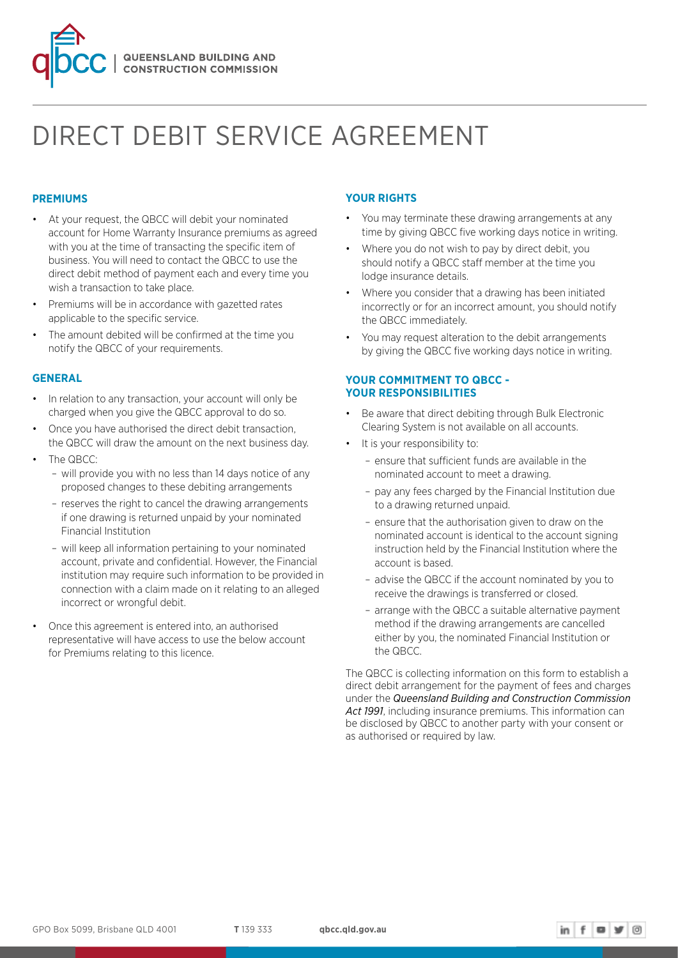

# DIRECT DEBIT SERVICE AGREEMENT

# **PREMIUMS**

- At your request, the QBCC will debit your nominated account for Home Warranty Insurance premiums as agreed with you at the time of transacting the specific item of business. You will need to contact the QBCC to use the direct debit method of payment each and every time you wish a transaction to take place.
- Premiums will be in accordance with gazetted rates applicable to the specific service.
- The amount debited will be confirmed at the time you notify the QBCC of your requirements.

# **GENERAL**

- In relation to any transaction, your account will only be charged when you give the QBCC approval to do so.
- Once you have authorised the direct debit transaction, the QBCC will draw the amount on the next business day.
- The QBCC: – will provide you with no less than 14 days notice of any
	- proposed changes to these debiting arrangements – reserves the right to cancel the drawing arrangements if one drawing is returned unpaid by your nominated
	- Financial Institution – will keep all information pertaining to your nominated account, private and confidential. However, the Financial institution may require such information to be provided in
- connection with a claim made on it relating to an alleged incorrect or wrongful debit. • Once this agreement is entered into, an authorised
- representative will have access to use the below account for Premiums relating to this licence.

# **YOUR RIGHTS**

- You may terminate these drawing arrangements at any time by giving QBCC five working days notice in writing.
- Where you do not wish to pay by direct debit, you should notify a QBCC staff member at the time you lodge insurance details.
- Where you consider that a drawing has been initiated incorrectly or for an incorrect amount, you should notify the QBCC immediately.
- You may request alteration to the debit arrangements by giving the QBCC five working days notice in writing.

# **YOUR COMMITMENT TO QBCC - YOUR RESPONSIBILITIES**

- Be aware that direct debiting through Bulk Electronic Clearing System is not available on all accounts.
- It is your responsibility to:
	- ensure that sufficient funds are available in the nominated account to meet a drawing.
	- pay any fees charged by the Financial Institution due to a drawing returned unpaid.
	- ensure that the authorisation given to draw on the nominated account is identical to the account signing instruction held by the Financial Institution where the account is based.
	- advise the QBCC if the account nominated by you to receive the drawings is transferred or closed.
	- arrange with the QBCC a suitable alternative payment method if the drawing arrangements are cancelled either by you, the nominated Financial Institution or the QBCC.

The QBCC is collecting information on this form to establish a direct debit arrangement for the payment of fees and charges under the *Queensland Building and Construction Commission Act 1991*, including insurance premiums. This information can be disclosed by QBCC to another party with your consent or as authorised or required by law.

 $\mathsf{in}$   $\mathsf{f}$   $\mathsf{w}$   $\mathsf{w}$   $\circ$